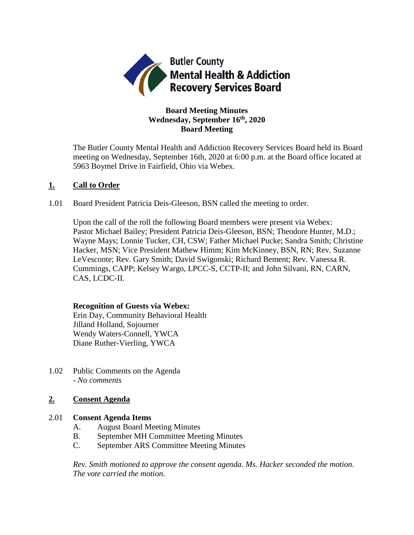

# **Board Meeting Minutes Wednesday, September 16th, 2020 Board Meeting**

The Butler County Mental Health and Addiction Recovery Services Board held its Board meeting on Wednesday, September 16th, 2020 at 6:00 p.m. at the Board office located at 5963 Boymel Drive in Fairfield, Ohio via Webex.

## **1. Call to Order**

1.01 Board President Patricia Deis-Gleeson, BSN called the meeting to order.

Upon the call of the roll the following Board members were present via Webex: Pastor Michael Bailey; President Patricia Deis-Gleeson, BSN; Theodore Hunter, M.D.; Wayne Mays; Lonnie Tucker, CH, CSW; Father Michael Pucke; Sandra Smith; Christine Hacker, MSN; Vice President Mathew Himm; Kim McKinney, BSN, RN; Rev. Suzanne LeVesconte; Rev. Gary Smith; David Swigonski; Richard Bement; Rev. Vanessa R. Cummings, CAPP; Kelsey Wargo, LPCC-S, CCTP-II; and John Silvani, RN, CARN, CAS, LCDC-II.

### **Recognition of Guests via Webex:**

Erin Day, Community Behavioral Health Jilland Holland, Sojourner Wendy Waters-Connell, YWCA Diane Ruther-Vierling, YWCA

1.02 Public Comments on the Agenda - *No comments*

# **2. Consent Agenda**

### 2.01 **Consent Agenda Items**

- A. August Board Meeting Minutes
- B. September MH Committee Meeting Minutes
- C. September ARS Committee Meeting Minutes

*Rev. Smith motioned to approve the consent agenda. Ms. Hacker seconded the motion. The vote carried the motion.*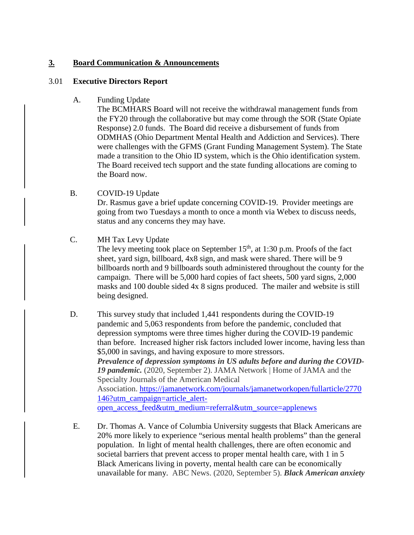## **3. Board Communication & Announcements**

### 3.01 **Executive Directors Report**

A. Funding Update

The BCMHARS Board will not receive the withdrawal management funds from the FY20 through the collaborative but may come through the SOR (State Opiate Response) 2.0 funds. The Board did receive a disbursement of funds from ODMHAS (Ohio Department Mental Health and Addiction and Services). There were challenges with the GFMS (Grant Funding Management System). The State made a transition to the Ohio ID system, which is the Ohio identification system. The Board received tech support and the state funding allocations are coming to the Board now.

- B. COVID-19 Update Dr. Rasmus gave a brief update concerning COVID-19. Provider meetings are going from two Tuesdays a month to once a month via Webex to discuss needs, status and any concerns they may have.
- C. MH Tax Levy Update The levy meeting took place on September  $15<sup>th</sup>$ , at 1:30 p.m. Proofs of the fact sheet, yard sign, billboard, 4x8 sign, and mask were shared. There will be 9 billboards north and 9 billboards south administered throughout the county for the campaign. There will be 5,000 hard copies of fact sheets, 500 yard signs, 2,000 masks and 100 double sided 4x 8 signs produced. The mailer and website is still being designed.
- D. This survey study that included 1,441 respondents during the COVID-19 pandemic and 5,063 respondents from before the pandemic, concluded that depression symptoms were three times higher during the COVID-19 pandemic than before. Increased higher risk factors included lower income, having less than \$5,000 in savings, and having exposure to more stressors. *Prevalence of depression symptoms in US adults before and during the COVID-19 pandemic.* (2020, September 2). JAMA Network | Home of JAMA and the Specialty Journals of the American Medical Association. [https://jamanetwork.com/journals/jamanetworkopen/fullarticle/2770](https://jamanetwork.com/journals/jamanetworkopen/fullarticle/2770146?utm_campaign=article_alert-open_access_feed&utm_medium=referral&utm_source=applenews) [146?utm\\_campaign=article\\_alert](https://jamanetwork.com/journals/jamanetworkopen/fullarticle/2770146?utm_campaign=article_alert-open_access_feed&utm_medium=referral&utm_source=applenews)[open\\_access\\_feed&utm\\_medium=referral&utm\\_source=applenews](https://jamanetwork.com/journals/jamanetworkopen/fullarticle/2770146?utm_campaign=article_alert-open_access_feed&utm_medium=referral&utm_source=applenews)
- E. Dr. Thomas A. Vance of Columbia University suggests that Black Americans are 20% more likely to experience "serious mental health problems" than the general population. In light of mental health challenges, there are often economic and societal barriers that prevent access to proper mental health care, with 1 in 5 Black Americans living in poverty, mental health care can be economically unavailable for many. ABC News. (2020, September 5). *Black American anxiety*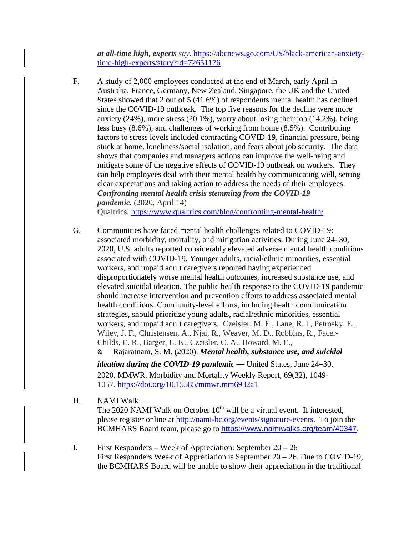*at all-time high, experts say*. [https://abcnews.go.com/US/black-american-anxiety](https://abcnews.go.com/US/black-american-anxiety-time-high-experts/story?id=72651176)[time-high-experts/story?id=72651176](https://abcnews.go.com/US/black-american-anxiety-time-high-experts/story?id=72651176)

F. A study of 2,000 employees conducted at the end of March, early April in Australia, France, Germany, New Zealand, Singapore, the UK and the United States showed that 2 out of 5 (41.6%) of respondents mental health has declined since the COVID-19 outbreak. The top five reasons for the decline were more anxiety (24%), more stress (20.1%), worry about losing their job (14.2%), being less busy (8.6%), and challenges of working from home (8.5%). Contributing factors to stress levels included contracting COVID-19, financial pressure, being stuck at home, loneliness/social isolation, and fears about job security. The data shows that companies and managers actions can improve the well-being and mitigate some of the negative effects of COVID-19 outbreak on workers. They can help employees deal with their mental health by communicating well, setting clear expectations and taking action to address the needs of their employees. *Confronting mental health crisis stemming from the COVID-19 pandemic.* (2020, April 14) Qualtrics. <https://www.qualtrics.com/blog/confronting-mental-health/>

G. Communities have faced mental health challenges related to COVID-19: associated morbidity, mortality, and mitigation activities. During June 24–30, 2020, U.S. adults reported considerably elevated adverse mental health conditions associated with COVID-19. Younger adults, racial/ethnic minorities, essential workers, and unpaid adult caregivers reported having experienced disproportionately worse mental health outcomes, increased substance use, and elevated suicidal ideation. The public health response to the COVID-19 pandemic should increase intervention and prevention efforts to address associated mental health conditions. Community-level efforts, including health communication strategies, should prioritize young adults, racial/ethnic minorities, essential workers, and unpaid adult caregivers. Czeisler, M. É., Lane, R. I., Petrosky, E., Wiley, J. F., Christensen, A., Njai, R., Weaver, M. D., Robbins, R., Facer-Childs, E. R., Barger, L. K., Czeisler, C. A., Howard, M. E., & Rajaratnam, S. M. (2020). *Mental health, substance use, and suicidal* 

*ideation during the COVID-19 pandemic* — United States, June 24–30, 2020. MMWR. Morbidity and Mortality Weekly Report, 69(32), 1049- 1057. <https://doi.org/10.15585/mmwr.mm6932a1>

H. NAMI Walk

The 2020 NAMI Walk on October  $10<sup>th</sup>$  will be a virtual event. If interested, please register online at [http://nami-bc.org/events/signature-events.](http://nami-bc.org/events/signature-events) To join the BCMHARS Board team, please go to [https://www.namiwalks.org/team/40347.](https://www.namiwalks.org/team/40347)

I. First Responders – Week of Appreciation: September 20 – 26 First Responders Week of Appreciation is September 20 – 26. Due to COVID-19, the BCMHARS Board will be unable to show their appreciation in the traditional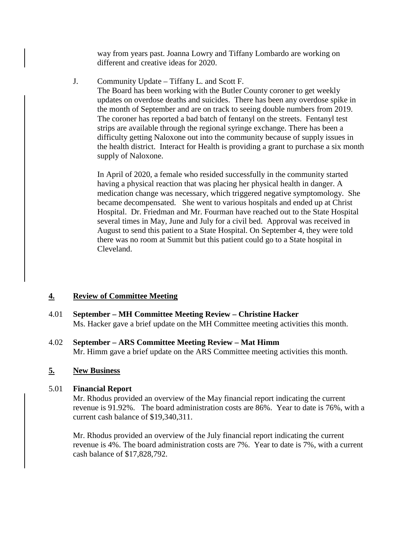way from years past. Joanna Lowry and Tiffany Lombardo are working on different and creative ideas for 2020.

J. Community Update – Tiffany L. and Scott F.

The Board has been working with the Butler County coroner to get weekly updates on overdose deaths and suicides. There has been any overdose spike in the month of September and are on track to seeing double numbers from 2019. The coroner has reported a bad batch of fentanyl on the streets. Fentanyl test strips are available through the regional syringe exchange. There has been a difficulty getting Naloxone out into the community because of supply issues in the health district. Interact for Health is providing a grant to purchase a six month supply of Naloxone.

In April of 2020, a female who resided successfully in the community started having a physical reaction that was placing her physical health in danger. A medication change was necessary, which triggered negative symptomology. She became decompensated. She went to various hospitals and ended up at Christ Hospital. Dr. Friedman and Mr. Fourman have reached out to the State Hospital several times in May, June and July for a civil bed. Approval was received in August to send this patient to a State Hospital. On September 4, they were told there was no room at Summit but this patient could go to a State hospital in Cleveland.

# **4. Review of Committee Meeting**

- 4.01 **September – MH Committee Meeting Review – Christine Hacker** Ms. Hacker gave a brief update on the MH Committee meeting activities this month.
- 4.02 **September – ARS Committee Meeting Review – Mat Himm** Mr. Himm gave a brief update on the ARS Committee meeting activities this month.

# **5. New Business**

# 5.01 **Financial Report**

Mr. Rhodus provided an overview of the May financial report indicating the current revenue is 91.92%. The board administration costs are 86%. Year to date is 76%, with a current cash balance of \$19,340,311.

Mr. Rhodus provided an overview of the July financial report indicating the current revenue is 4%. The board administration costs are 7%. Year to date is 7%, with a current cash balance of \$17,828,792.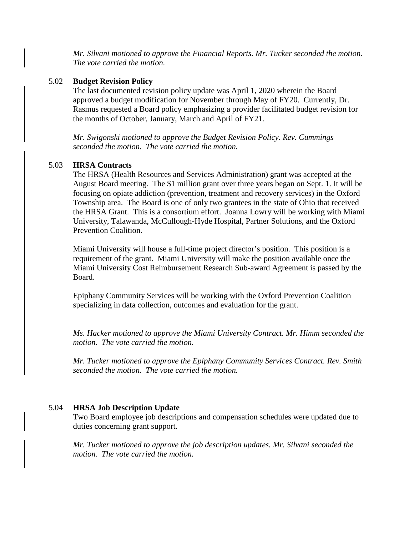*Mr. Silvani motioned to approve the Financial Reports. Mr. Tucker seconded the motion. The vote carried the motion.*

#### 5.02 **Budget Revision Policy**

The last documented revision policy update was April 1, 2020 wherein the Board approved a budget modification for November through May of FY20. Currently, Dr. Rasmus requested a Board policy emphasizing a provider facilitated budget revision for the months of October, January, March and April of FY21.

*Mr. Swigonski motioned to approve the Budget Revision Policy. Rev. Cummings seconded the motion. The vote carried the motion.*

#### 5.03 **HRSA Contracts**

The HRSA (Health Resources and Services Administration) grant was accepted at the August Board meeting. The \$1 million grant over three years began on Sept. 1. It will be focusing on opiate addiction (prevention, treatment and recovery services) in the Oxford Township area. The Board is one of only two grantees in the state of Ohio that received the HRSA Grant. This is a consortium effort. Joanna Lowry will be working with Miami University, Talawanda, McCullough-Hyde Hospital, Partner Solutions, and the Oxford Prevention Coalition.

Miami University will house a full-time project director's position. This position is a requirement of the grant. Miami University will make the position available once the Miami University Cost Reimbursement Research Sub-award Agreement is passed by the Board.

Epiphany Community Services will be working with the Oxford Prevention Coalition specializing in data collection, outcomes and evaluation for the grant.

*Ms. Hacker motioned to approve the Miami University Contract. Mr. Himm seconded the motion. The vote carried the motion.*

*Mr. Tucker motioned to approve the Epiphany Community Services Contract. Rev. Smith seconded the motion. The vote carried the motion.*

#### 5.04 **HRSA Job Description Update**

Two Board employee job descriptions and compensation schedules were updated due to duties concerning grant support.

*Mr. Tucker motioned to approve the job description updates. Mr. Silvani seconded the motion. The vote carried the motion.*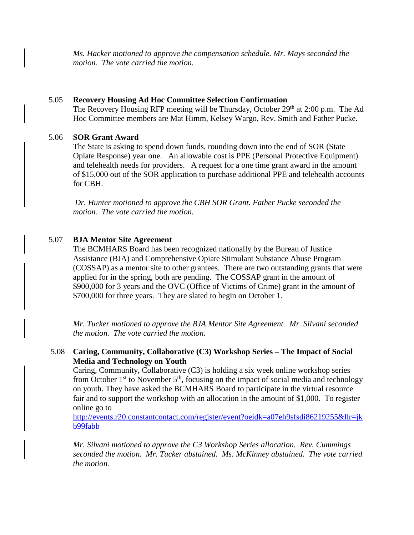*Ms. Hacker motioned to approve the compensation schedule. Mr. Mays seconded the motion. The vote carried the motion.*

### 5.05 **Recovery Housing Ad Hoc Committee Selection Confirmation**

The Recovery Housing RFP meeting will be Thursday, October 29<sup>th</sup> at 2:00 p.m. The Ad Hoc Committee members are Mat Himm, Kelsey Wargo, Rev. Smith and Father Pucke.

## 5.06 **SOR Grant Award**

The State is asking to spend down funds, rounding down into the end of SOR (State Opiate Response) year one. An allowable cost is PPE (Personal Protective Equipment) and telehealth needs for providers. A request for a one time grant award in the amount of \$15,000 out of the SOR application to purchase additional PPE and telehealth accounts for CBH.

*Dr. Hunter motioned to approve the CBH SOR Grant. Father Pucke seconded the motion. The vote carried the motion.*

## 5.07 **BJA Mentor Site Agreement**

The BCMHARS Board has been recognized nationally by the Bureau of Justice Assistance (BJA) and Comprehensive Opiate Stimulant Substance Abuse Program (COSSAP) as a mentor site to other grantees. There are two outstanding grants that were applied for in the spring, both are pending. The COSSAP grant in the amount of \$900,000 for 3 years and the OVC (Office of Victims of Crime) grant in the amount of \$700,000 for three years. They are slated to begin on October 1.

*Mr. Tucker motioned to approve the BJA Mentor Site Agreement. Mr. Silvani seconded the motion. The vote carried the motion.*

## 5.08 **Caring, Community, Collaborative (C3) Workshop Series – The Impact of Social Media and Technology on Youth**

Caring, Community, Collaborative (C3) is holding a six week online workshop series from October  $1<sup>st</sup>$  to November  $5<sup>th</sup>$ , focusing on the impact of social media and technology on youth. They have asked the BCMHARS Board to participate in the virtual resource fair and to support the workshop with an allocation in the amount of \$1,000. To register online go to

[http://events.r20.constantcontact.com/register/event?oeidk=a07eh9sfsdi86219255&llr=jk](http://events.r20.constantcontact.com/register/event?oeidk=a07eh9sfsdi86219255&llr=jkb99fabb) [b99fabb](http://events.r20.constantcontact.com/register/event?oeidk=a07eh9sfsdi86219255&llr=jkb99fabb)

*Mr. Silvani motioned to approve the C3 Workshop Series allocation. Rev. Cummings seconded the motion. Mr. Tucker abstained. Ms. McKinney abstained. The vote carried the motion.*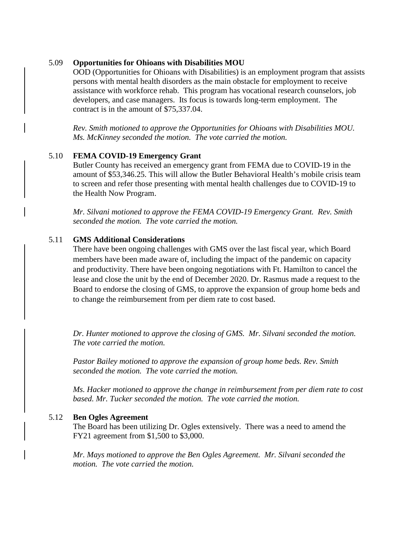#### 5.09 **Opportunities for Ohioans with Disabilities MOU**

OOD (Opportunities for Ohioans with Disabilities) is an employment program that assists persons with mental health disorders as the main obstacle for employment to receive assistance with workforce rehab. This program has vocational research counselors, job developers, and case managers. Its focus is towards long-term employment. The contract is in the amount of \$75,337.04.

*Rev. Smith motioned to approve the Opportunities for Ohioans with Disabilities MOU. Ms. McKinney seconded the motion. The vote carried the motion.* 

#### 5.10 **FEMA COVID-19 Emergency Grant**

Butler County has received an emergency grant from FEMA due to COVID-19 in the amount of \$53,346.25. This will allow the Butler Behavioral Health's mobile crisis team to screen and refer those presenting with mental health challenges due to COVID-19 to the Health Now Program.

*Mr. Silvani motioned to approve the FEMA COVID-19 Emergency Grant. Rev. Smith seconded the motion. The vote carried the motion.* 

#### 5.11 **GMS Additional Considerations**

There have been ongoing challenges with GMS over the last fiscal year, which Board members have been made aware of, including the impact of the pandemic on capacity and productivity. There have been ongoing negotiations with Ft. Hamilton to cancel the lease and close the unit by the end of December 2020. Dr. Rasmus made a request to the Board to endorse the closing of GMS, to approve the expansion of group home beds and to change the reimbursement from per diem rate to cost based.

*Dr. Hunter motioned to approve the closing of GMS. Mr. Silvani seconded the motion. The vote carried the motion.* 

*Pastor Bailey motioned to approve the expansion of group home beds. Rev. Smith seconded the motion. The vote carried the motion.*

*Ms. Hacker motioned to approve the change in reimbursement from per diem rate to cost based. Mr. Tucker seconded the motion. The vote carried the motion.*

#### 5.12 **Ben Ogles Agreement**

The Board has been utilizing Dr. Ogles extensively. There was a need to amend the FY21 agreement from \$1,500 to \$3,000.

*Mr. Mays motioned to approve the Ben Ogles Agreement. Mr. Silvani seconded the motion. The vote carried the motion.*